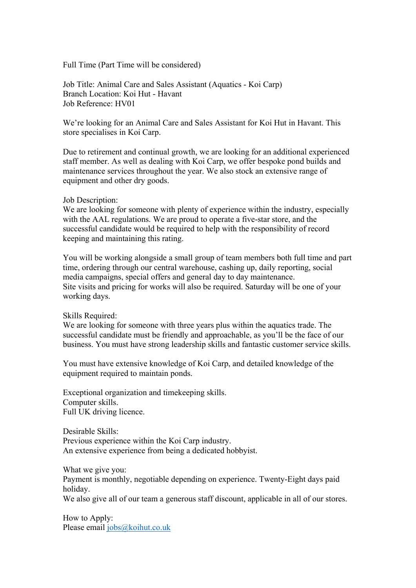Full Time (Part Time will be considered)

Job Title: Animal Care and Sales Assistant (Aquatics - Koi Carp) Branch Location: Koi Hut - Havant Job Reference: HV01

We're looking for an Animal Care and Sales Assistant for Koi Hut in Havant. This store specialises in Koi Carp.

Due to retirement and continual growth, we are looking for an additional experienced staff member. As well as dealing with Koi Carp, we offer bespoke pond builds and maintenance services throughout the year. We also stock an extensive range of equipment and other dry goods.

## Job Description:

We are looking for someone with plenty of experience within the industry, especially with the AAL regulations. We are proud to operate a five-star store, and the successful candidate would be required to help with the responsibility of record keeping and maintaining this rating.

You will be working alongside a small group of team members both full time and part time, ordering through our central warehouse, cashing up, daily reporting, social media campaigns, special offers and general day to day maintenance. Site visits and pricing for works will also be required. Saturday will be one of your working days.

Skills Required:

We are looking for someone with three years plus within the aquatics trade. The successful candidate must be friendly and approachable, as you'll be the face of our business. You must have strong leadership skills and fantastic customer service skills.

You must have extensive knowledge of Koi Carp, and detailed knowledge of the equipment required to maintain ponds.

Exceptional organization and timekeeping skills. Computer skills. Full UK driving licence.

Desirable Skills: Previous experience within the Koi Carp industry. An extensive experience from being a dedicated hobbyist.

What we give you: Payment is monthly, negotiable depending on experience. Twenty-Eight days paid holiday. We also give all of our team a generous staff discount, applicable in all of our stores.

How to Apply: Please email jobs@koihut.co.uk